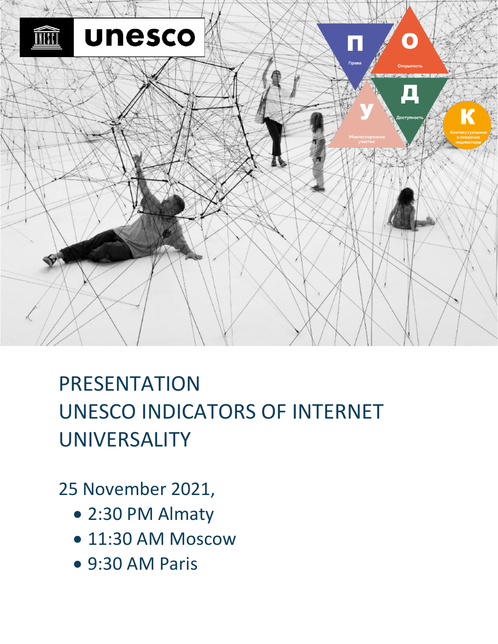

# PRESENTATION UNESCO INDICATORS OF INTERNET UNIVERSALITY

## 25 November 2021,

- 2:30 PM Almaty
- 11:30 AM Moscow
- 9:30 AM Paris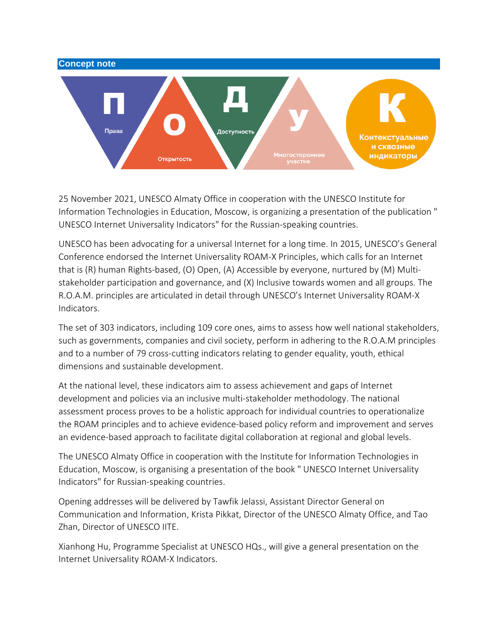

25 November 2021, UNESCO Almaty Office in cooperation with the UNESCO Institute for Information Technologies in Education, Moscow, is organizing a presentation of the publication " UNESCO Internet Universality Indicators" for the Russian-speaking countries.

UNESCO has been advocating for a universal Internet for a long time. In 2015, UNESCO's General Conference endorsed the Internet Universality ROAM-X Principles, which calls for an Internet that is (R) human Rights-based, (O) Open, (A) Accessible by everyone, nurtured by (M) Multistakeholder participation and governance, and (X) Inclusive towards women and all groups. The R.O.A.M. principles are articulated in detail through UNESCO's Internet Universality ROAM-X Indicators.

The set of 303 indicators, including 109 core ones, aims to assess how well national stakeholders, such as governments, companies and civil society, perform in adhering to the R.O.A.M principles and to a number of 79 cross-cutting indicators relating to gender equality, youth, ethical dimensions and sustainable development.

At the national level, these indicators aim to assess achievement and gaps of Internet development and policies via an inclusive multi-stakeholder methodology. The national assessment process proves to be a holistic approach for individual countries to operationalize the ROAM principles and to achieve evidence-based policy reform and improvement and serves an evidence-based approach to facilitate digital collaboration at regional and global levels.

The UNESCO Almaty Office in cooperation with the Institute for Information Technologies in Education, Moscow, is organising a presentation of the book " UNESCO Internet Universality Indicators" for Russian-speaking countries.

Opening addresses will be delivered by Tawfik Jelassi, Assistant Director General on Communication and Information, Krista Pikkat, Director of the UNESCO Almaty Office, and Tao Zhan, Director of UNESCO IITE.

Xianhong Hu, Programme Specialist at UNESCO HQs., will give a general presentation on the Internet Universality ROAM-X Indicators.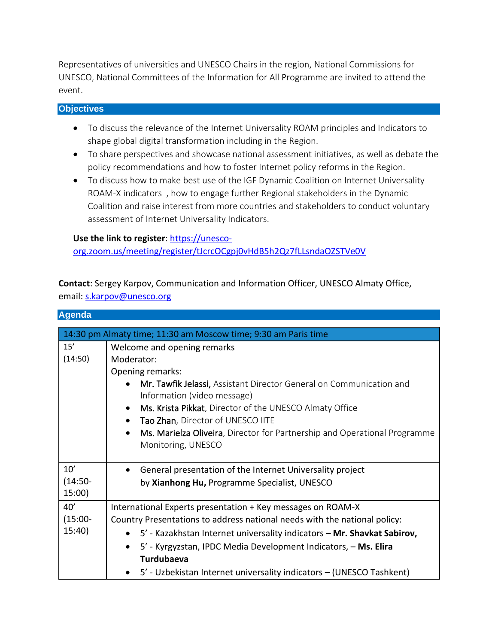Representatives of universities and UNESCO Chairs in the region, National Commissions for UNESCO, National Committees of the Information for All Programme are invited to attend the event.

### **Objectives**

- To discuss the relevance of the Internet Universality ROAM principles and Indicators to shape global digital transformation including in the Region.
- To share perspectives and showcase national assessment initiatives, as well as debate the policy recommendations and how to foster Internet policy reforms in the Region.
- To discuss how to make best use of the IGF Dynamic Coalition on Internet Universality ROAM-X indicators , how to engage further Regional stakeholders in the Dynamic Coalition and raise interest from more countries and stakeholders to conduct voluntary assessment of Internet Universality Indicators.

#### **Use the link to register**: [https://unesco-](https://unesco-org.zoom.us/meeting/register/tJcrcOCgpj0vHdB5h2Qz7fLLsndaOZSTVe0V)

[org.zoom.us/meeting/register/tJcrcOCgpj0vHdB5h2Qz7fLLsndaOZSTVe0V](https://unesco-org.zoom.us/meeting/register/tJcrcOCgpj0vHdB5h2Qz7fLLsndaOZSTVe0V)

**Contact**: Sergey Karpov, Communication and Information Officer, UNESCO Almaty Office, email[: s.karpov@unesco.org](mailto:s.karpov@unesco.org)

#### **Agenda**

| 14:30 pm Almaty time; 11:30 am Moscow time; 9:30 am Paris time |                                                                                                                                                                            |  |
|----------------------------------------------------------------|----------------------------------------------------------------------------------------------------------------------------------------------------------------------------|--|
| 15'                                                            | Welcome and opening remarks                                                                                                                                                |  |
| (14:50)                                                        | Moderator:                                                                                                                                                                 |  |
|                                                                | Opening remarks:                                                                                                                                                           |  |
|                                                                | Mr. Tawfik Jelassi, Assistant Director General on Communication and<br>Information (video message)<br>Ms. Krista Pikkat, Director of the UNESCO Almaty Office<br>$\bullet$ |  |
|                                                                | Tao Zhan, Director of UNESCO IITE<br>$\bullet$                                                                                                                             |  |
|                                                                | Ms. Marielza Oliveira, Director for Partnership and Operational Programme<br>$\bullet$<br>Monitoring, UNESCO                                                               |  |
| 10'                                                            | General presentation of the Internet Universality project                                                                                                                  |  |
| $(14:50 -$                                                     | by Xianhong Hu, Programme Specialist, UNESCO                                                                                                                               |  |
| 15:00                                                          |                                                                                                                                                                            |  |
| 40'                                                            | International Experts presentation + Key messages on ROAM-X                                                                                                                |  |
| $(15:00 -$                                                     | Country Presentations to address national needs with the national policy:                                                                                                  |  |
| 15:40                                                          | • 5' - Kazakhstan Internet universality indicators - Mr. Shavkat Sabirov,                                                                                                  |  |
|                                                                | 5' - Kyrgyzstan, IPDC Media Development Indicators, - Ms. Elira<br>$\bullet$                                                                                               |  |
|                                                                | <b>Turdubaeva</b>                                                                                                                                                          |  |
|                                                                | 5' - Uzbekistan Internet universality indicators - (UNESCO Tashkent)                                                                                                       |  |